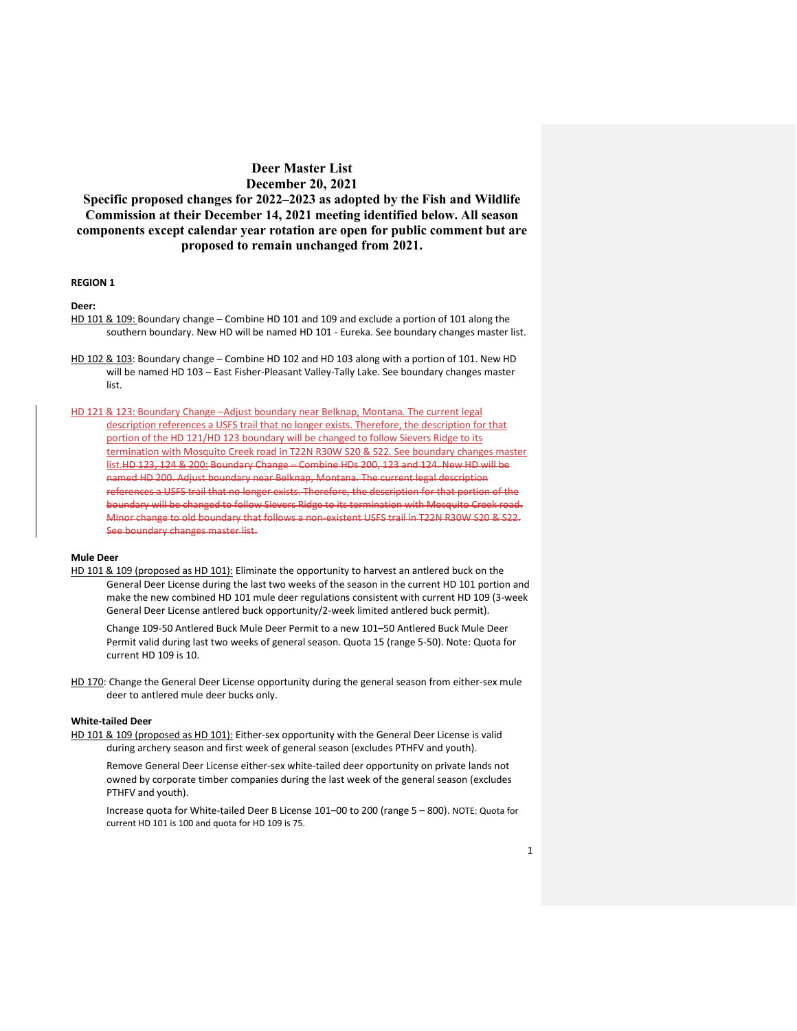**Specific proposed changes for 2022–2023 as adopted by the Fish and Wildlife Commission at their December 14, 2021 meeting identified below. All season components except calendar year rotation are open for public comment but are proposed to remain unchanged from 2021.**

### **REGION 1**

**Deer:** 

- HD 101 & 109: Boundary change Combine HD 101 and 109 and exclude a portion of 101 along the southern boundary. New HD will be named HD 101 - Eureka. See boundary changes master list.
- HD 102 & 103: Boundary change Combine HD 102 and HD 103 along with a portion of 101. New HD will be named HD 103 – East Fisher-Pleasant Valley-Tally Lake. See boundary changes master list.

HD 121 & 123: Boundary Change –Adjust boundary near Belknap, Montana. The current legal description references a USFS trail that no longer exists. Therefore, the description for that portion of the HD 121/HD 123 boundary will be changed to follow Sievers Ridge to its termination with Mosquito Creek road in T22N R30W S20 & S22. See boundary changes master list.HD 123, 124 & 200: Boundary Change – Combine HDs 200, 123 and 124. New HD will be named HD 200. Adjust boundary near Belknap, Montana. The current legal description references a USFS trail that no longer exists. Therefore, the description for that portion of the boundary will be changed to follow Sievers Ridge to its termination with Mosquito Creek road. Minor change to old boundary that follows a non-existent USFS trail in T22N R30W S20 & S22. See boundary changes master list.

#### **Mule Deer**

HD 101 & 109 (proposed as HD 101): Eliminate the opportunity to harvest an antlered buck on the General Deer License during the last two weeks of the season in the current HD 101 portion and make the new combined HD 101 mule deer regulations consistent with current HD 109 (3-week General Deer License antlered buck opportunity/2-week limited antlered buck permit).

Change 109-50 Antlered Buck Mule Deer Permit to a new 101–50 Antlered Buck Mule Deer Permit valid during last two weeks of general season. Quota 15 (range 5-50). Note: Quota for current HD 109 is 10.

HD 170: Change the General Deer License opportunity during the general season from either-sex mule deer to antlered mule deer bucks only.

### **White-tailed Deer**

HD 101 & 109 (proposed as HD 101): Either-sex opportunity with the General Deer License is valid during archery season and first week of general season (excludes PTHFV and youth).

Remove General Deer License either-sex white-tailed deer opportunity on private lands not owned by corporate timber companies during the last week of the general season (excludes PTHFV and youth).

Increase quota for White-tailed Deer B License 101–00 to 200 (range 5 – 800). NOTE: Quota for current HD 101 is 100 and quota for HD 109 is 75.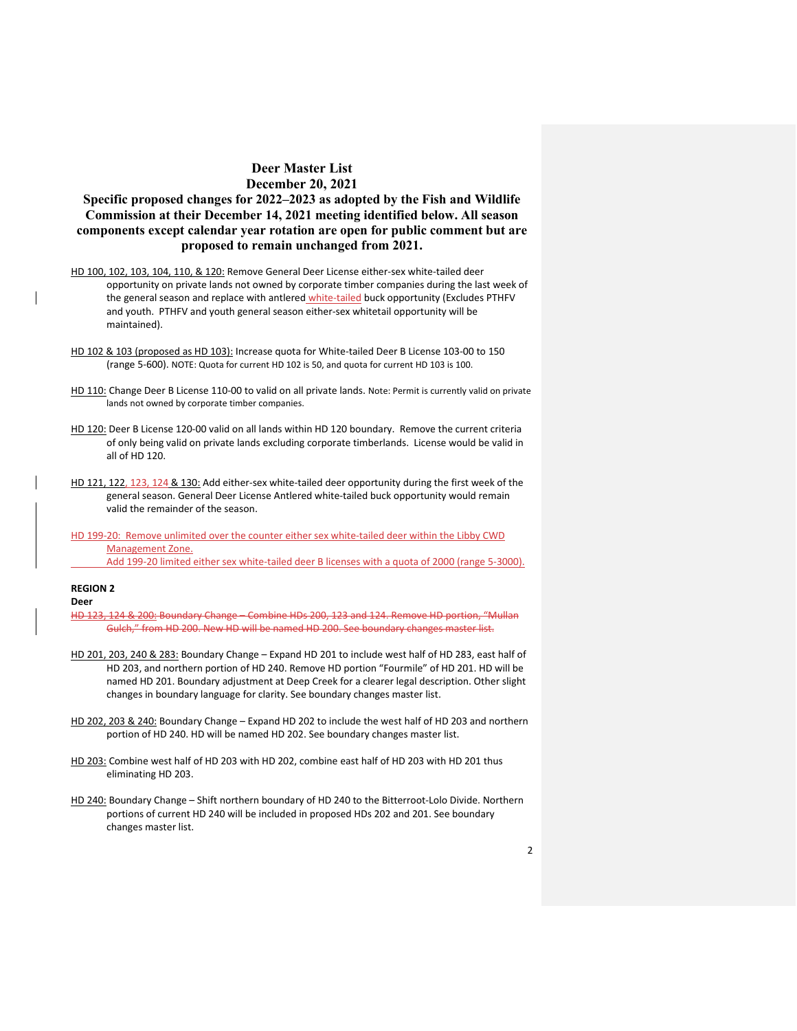# **Specific proposed changes for 2022–2023 as adopted by the Fish and Wildlife Commission at their December 14, 2021 meeting identified below. All season components except calendar year rotation are open for public comment but are proposed to remain unchanged from 2021.**

- HD 100, 102, 103, 104, 110, & 120: Remove General Deer License either-sex white-tailed deer opportunity on private lands not owned by corporate timber companies during the last week of the general season and replace with antlered white-tailed buck opportunity (Excludes PTHFV and youth. PTHFV and youth general season either-sex whitetail opportunity will be maintained).
- HD 102 & 103 (proposed as HD 103): Increase quota for White-tailed Deer B License 103-00 to 150 (range 5-600). NOTE: Quota for current HD 102 is 50, and quota for current HD 103 is 100.
- HD 110: Change Deer B License 110-00 to valid on all private lands. Note: Permit is currently valid on private lands not owned by corporate timber companies.
- HD 120: Deer B License 120-00 valid on all lands within HD 120 boundary. Remove the current criteria of only being valid on private lands excluding corporate timberlands. License would be valid in all of HD 120.
- HD 121, 122, 123, 124 & 130: Add either-sex white-tailed deer opportunity during the first week of the general season. General Deer License Antlered white-tailed buck opportunity would remain valid the remainder of the season.
- HD 199-20: Remove unlimited over the counter either sex white-tailed deer within the Libby CWD Management Zone. Add 199-20 limited either sex white-tailed deer B licenses with a quota of 2000 (range 5-3000).

### **REGION 2**

**Deer**

- HD 123, 124 & 200: Boundary Change Combine HDs 200, 123 and 124. Remove HD portion, "Mullan Gulch," from HD 200. New HD will be named HD 200. See boundary changes master list.
- HD 201, 203, 240 & 283: Boundary Change Expand HD 201 to include west half of HD 283, east half of HD 203, and northern portion of HD 240. Remove HD portion "Fourmile" of HD 201. HD will be named HD 201. Boundary adjustment at Deep Creek for a clearer legal description. Other slight changes in boundary language for clarity. See boundary changes master list.
- HD 202, 203 & 240: Boundary Change Expand HD 202 to include the west half of HD 203 and northern portion of HD 240. HD will be named HD 202. See boundary changes master list.
- HD 203: Combine west half of HD 203 with HD 202, combine east half of HD 203 with HD 201 thus eliminating HD 203.
- HD 240: Boundary Change Shift northern boundary of HD 240 to the Bitterroot-Lolo Divide. Northern portions of current HD 240 will be included in proposed HDs 202 and 201. See boundary changes master list.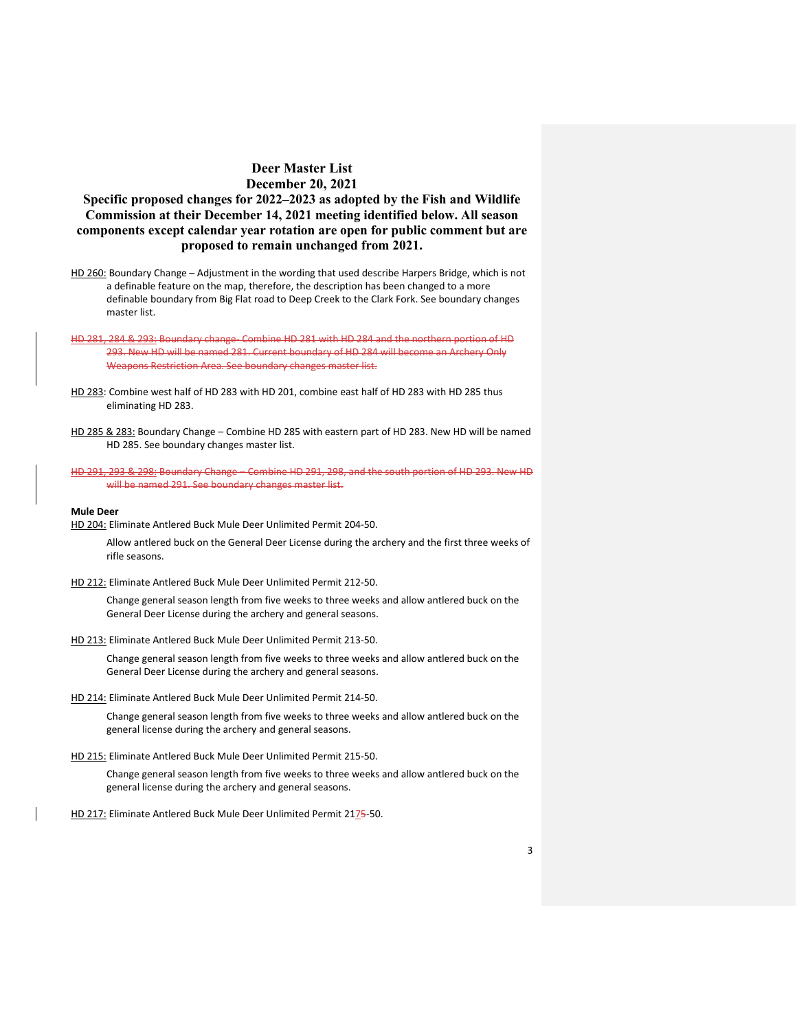# **Specific proposed changes for 2022–2023 as adopted by the Fish and Wildlife Commission at their December 14, 2021 meeting identified below. All season components except calendar year rotation are open for public comment but are proposed to remain unchanged from 2021.**

- HD 260: Boundary Change Adjustment in the wording that used describe Harpers Bridge, which is not a definable feature on the map, therefore, the description has been changed to a more definable boundary from Big Flat road to Deep Creek to the Clark Fork. See boundary changes master list.
- HD 281, 284 & 293: Boundary change- Combine HD 281 with HD 284 and the northern portion of HD 293. New HD will be named 281. Current boundary of HD 284 will become an Archery Only Weapons Restriction Area. See boundary changes master list.
- HD 283: Combine west half of HD 283 with HD 201, combine east half of HD 283 with HD 285 thus eliminating HD 283.
- HD 285 & 283: Boundary Change Combine HD 285 with eastern part of HD 283. New HD will be named HD 285. See boundary changes master list.
- HD 291, 293 & 298: Boundary Change Combine HD 291, 298, and the south portion of HD 293. New HD will be named 291. See boundary changes master list.

#### **Mule Deer**

HD 204: Eliminate Antlered Buck Mule Deer Unlimited Permit 204-50.

Allow antlered buck on the General Deer License during the archery and the first three weeks of rifle seasons.

HD 212: Eliminate Antlered Buck Mule Deer Unlimited Permit 212-50.

Change general season length from five weeks to three weeks and allow antlered buck on the General Deer License during the archery and general seasons.

HD 213: Eliminate Antlered Buck Mule Deer Unlimited Permit 213-50.

Change general season length from five weeks to three weeks and allow antlered buck on the General Deer License during the archery and general seasons.

HD 214: Eliminate Antlered Buck Mule Deer Unlimited Permit 214-50.

Change general season length from five weeks to three weeks and allow antlered buck on the general license during the archery and general seasons.

HD 215: Eliminate Antlered Buck Mule Deer Unlimited Permit 215-50.

Change general season length from five weeks to three weeks and allow antlered buck on the general license during the archery and general seasons.

HD 217: Eliminate Antlered Buck Mule Deer Unlimited Permit 2175-50.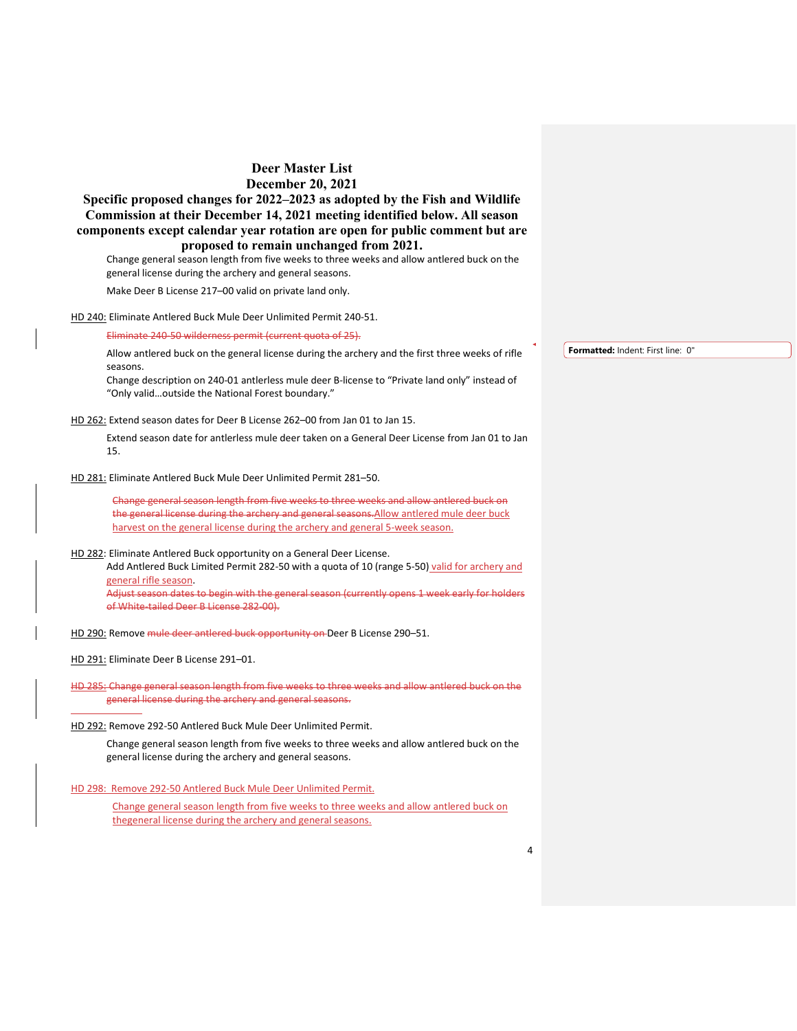**Specific proposed changes for 2022–2023 as adopted by the Fish and Wildlife Commission at their December 14, 2021 meeting identified below. All season components except calendar year rotation are open for public comment but are proposed to remain unchanged from 2021.**

Change general season length from five weeks to three weeks and allow antlered buck on the general license during the archery and general seasons.

Make Deer B License 217–00 valid on private land only.

HD 240: Eliminate Antlered Buck Mule Deer Unlimited Permit 240-51.

Eliminate 240-50 wilderness permit (current quota of 25).

Allow antlered buck on the general license during the archery and the first three weeks of rifle seasons.

Change description on 240-01 antlerless mule deer B-license to "Private land only" instead of "Only valid…outside the National Forest boundary."

HD 262: Extend season dates for Deer B License 262–00 from Jan 01 to Jan 15.

Extend season date for antlerless mule deer taken on a General Deer License from Jan 01 to Jan 15.

HD 281: Eliminate Antlered Buck Mule Deer Unlimited Permit 281–50.

Change general season length from five weeks to three weeks and allow antlered buck on the general license during the archery and general seasons. Allow antlered mule deer buck harvest on the general license during the archery and general 5-week season.

HD 282: Eliminate Antlered Buck opportunity on a General Deer License.

Add Antlered Buck Limited Permit 282-50 with a quota of 10 (range 5-50) valid for archery and general rifle season.

Adjust season dates to begin with the general season (currently opens 1 week early for holders of White-tailed Deer B License 282-00).

HD 290: Remove mule deer antlered buck opportunity on Deer B License 290–51.

HD 291: Eliminate Deer B License 291–01.

HD 285: Change general season length from five weeks to three weeks and allow antlered buck on the general license during the archery and general seasons.

HD 292: Remove 292-50 Antlered Buck Mule Deer Unlimited Permit.

Change general season length from five weeks to three weeks and allow antlered buck on the general license during the archery and general seasons.

HD 298: Remove 292-50 Antlered Buck Mule Deer Unlimited Permit.

Change general season length from five weeks to three weeks and allow antlered buck on thegeneral license during the archery and general seasons.

**Formatted:** Indent: First line: 0"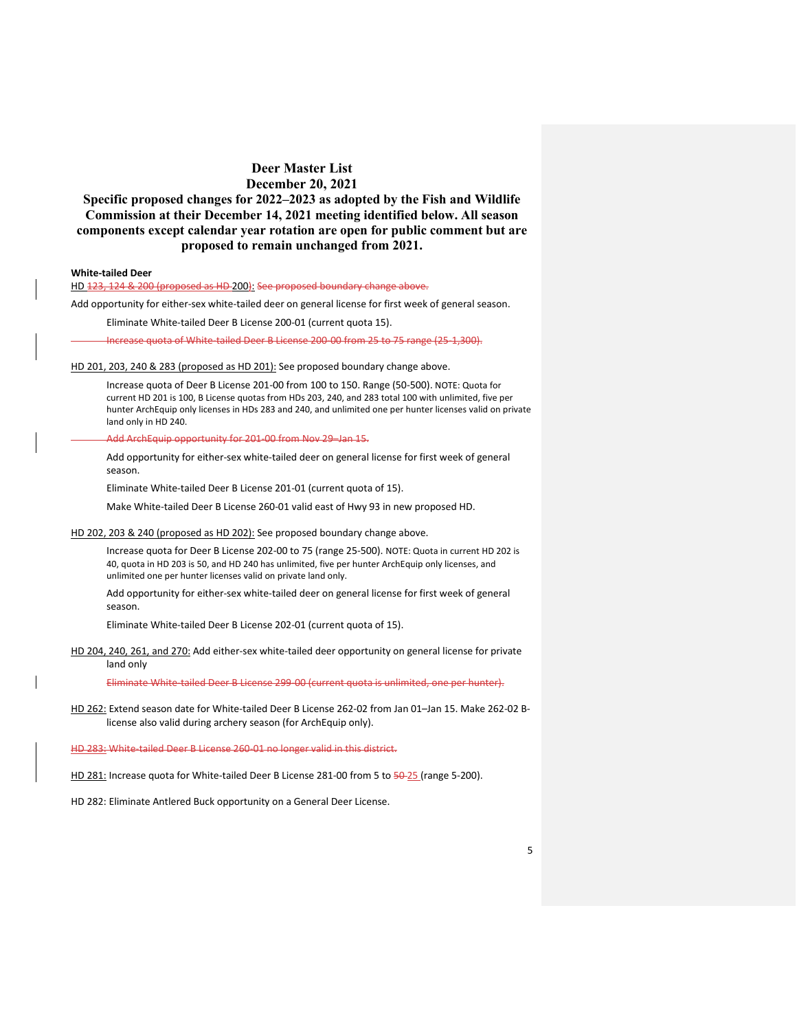**Specific proposed changes for 2022–2023 as adopted by the Fish and Wildlife Commission at their December 14, 2021 meeting identified below. All season components except calendar year rotation are open for public comment but are proposed to remain unchanged from 2021.**

### **White-tailed Deer**

HD 123, 124 & 200 (proposed as HD 200): See proposed boundary change above.

Add opportunity for either-sex white-tailed deer on general license for first week of general season.

Eliminate White-tailed Deer B License 200-01 (current quota 15).

Increase quota of White-tailed Deer B License 200-00 from 25 to 75 range (25-1,300).

HD 201, 203, 240 & 283 (proposed as HD 201): See proposed boundary change above.

Increase quota of Deer B License 201-00 from 100 to 150. Range (50-500). NOTE: Quota for current HD 201 is 100, B License quotas from HDs 203, 240, and 283 total 100 with unlimited, five per hunter ArchEquip only licenses in HDs 283 and 240, and unlimited one per hunter licenses valid on private land only in HD 240.

auip opportunity for 201-00 from Nov 29–Jan 15.

Add opportunity for either-sex white-tailed deer on general license for first week of general season.

Eliminate White-tailed Deer B License 201-01 (current quota of 15).

Make White-tailed Deer B License 260-01 valid east of Hwy 93 in new proposed HD.

HD 202, 203 & 240 (proposed as HD 202): See proposed boundary change above.

Increase quota for Deer B License 202-00 to 75 (range 25-500). NOTE: Quota in current HD 202 is 40, quota in HD 203 is 50, and HD 240 has unlimited, five per hunter ArchEquip only licenses, and unlimited one per hunter licenses valid on private land only.

Add opportunity for either-sex white-tailed deer on general license for first week of general season.

Eliminate White-tailed Deer B License 202-01 (current quota of 15).

HD 204, 240, 261, and 270: Add either-sex white-tailed deer opportunity on general license for private land only

Eliminate White-tailed Deer B License 299-00 (current quota is unlimited, one per hunter).

HD 262: Extend season date for White-tailed Deer B License 262-02 from Jan 01–Jan 15. Make 262-02 Blicense also valid during archery season (for ArchEquip only).

HD 283: White-tailed Deer B License 260-01 no longer valid in this district.

HD 281: Increase quota for White-tailed Deer B License 281-00 from 5 to 50-25 (range 5-200).

HD 282: Eliminate Antlered Buck opportunity on a General Deer License.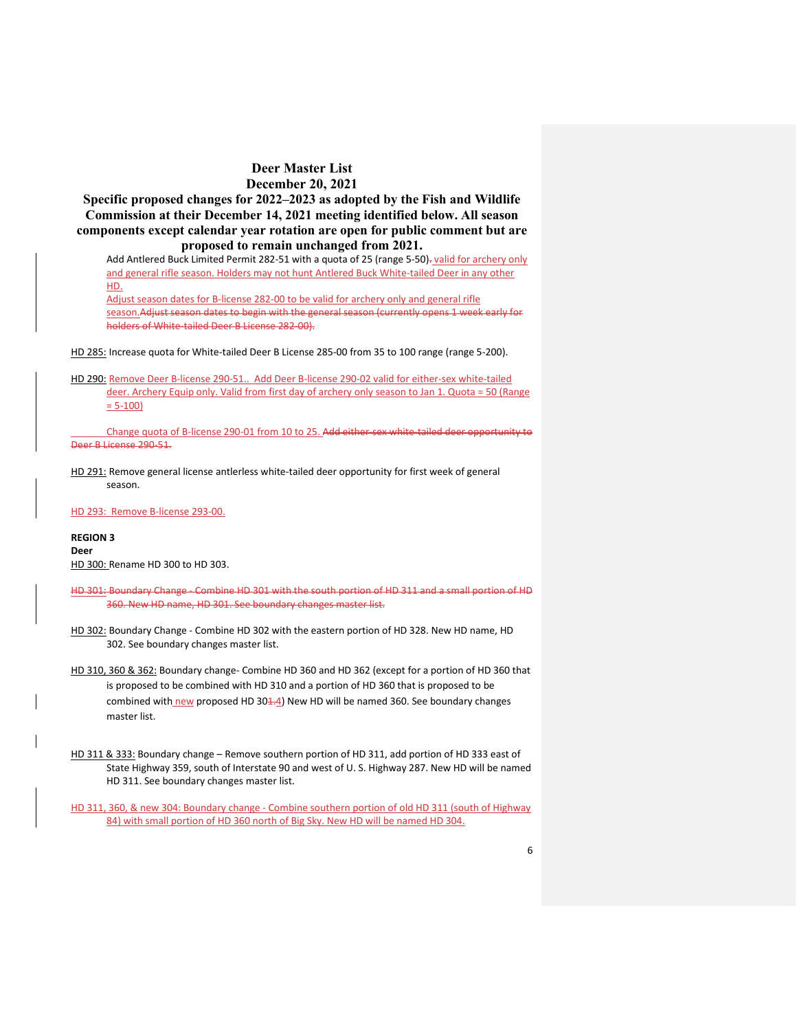**Specific proposed changes for 2022–2023 as adopted by the Fish and Wildlife Commission at their December 14, 2021 meeting identified below. All season components except calendar year rotation are open for public comment but are proposed to remain unchanged from 2021.**

Add Antlered Buck Limited Permit 282-51 with a quota of 25 (range 5-50)- valid for archery only and general rifle season. Holders may not hunt Antlered Buck White-tailed Deer in any other HD.

Adjust season dates for B-license 282-00 to be valid for archery only and general rifle season.Adjust season dates to begin with the general season (currently opens 1 week early for holders of White-tailed Deer B License 282-00).

HD 285: Increase quota for White-tailed Deer B License 285-00 from 35 to 100 range (range 5-200).

HD 290: Remove Deer B-license 290-51.. Add Deer B-license 290-02 valid for either-sex white-tailed deer. Archery Equip only. Valid from first day of archery only season to Jan 1. Quota = 50 (Range  $= 5 - 100$ 

Change quota of B-license 290-01 from 10 to 25. Add either-sex white-tailed deer opportunity to Deer B License 290-51.

HD 291: Remove general license antlerless white-tailed deer opportunity for first week of general season.

HD 293: Remove B-license 293-00.

**REGION 3 Deer** HD 300: Rename HD 300 to HD 303.

- HD 301: Boundary Change Combine HD 301 with the south portion of HD 311 and a small portion of HD 360. New HD name, HD 301. See boundary changes master list.
- HD 302: Boundary Change Combine HD 302 with the eastern portion of HD 328. New HD name, HD 302. See boundary changes master list.
- HD 310, 360 & 362: Boundary change- Combine HD 360 and HD 362 (except for a portion of HD 360 that is proposed to be combined with HD 310 and a portion of HD 360 that is proposed to be combined with new proposed HD 304.4) New HD will be named 360. See boundary changes master list.
- HD 311 & 333: Boundary change Remove southern portion of HD 311, add portion of HD 333 east of State Highway 359, south of Interstate 90 and west of U. S. Highway 287. New HD will be named HD 311. See boundary changes master list.

HD 311, 360, & new 304: Boundary change - Combine southern portion of old HD 311 (south of Highway 84) with small portion of HD 360 north of Big Sky. New HD will be named HD 304.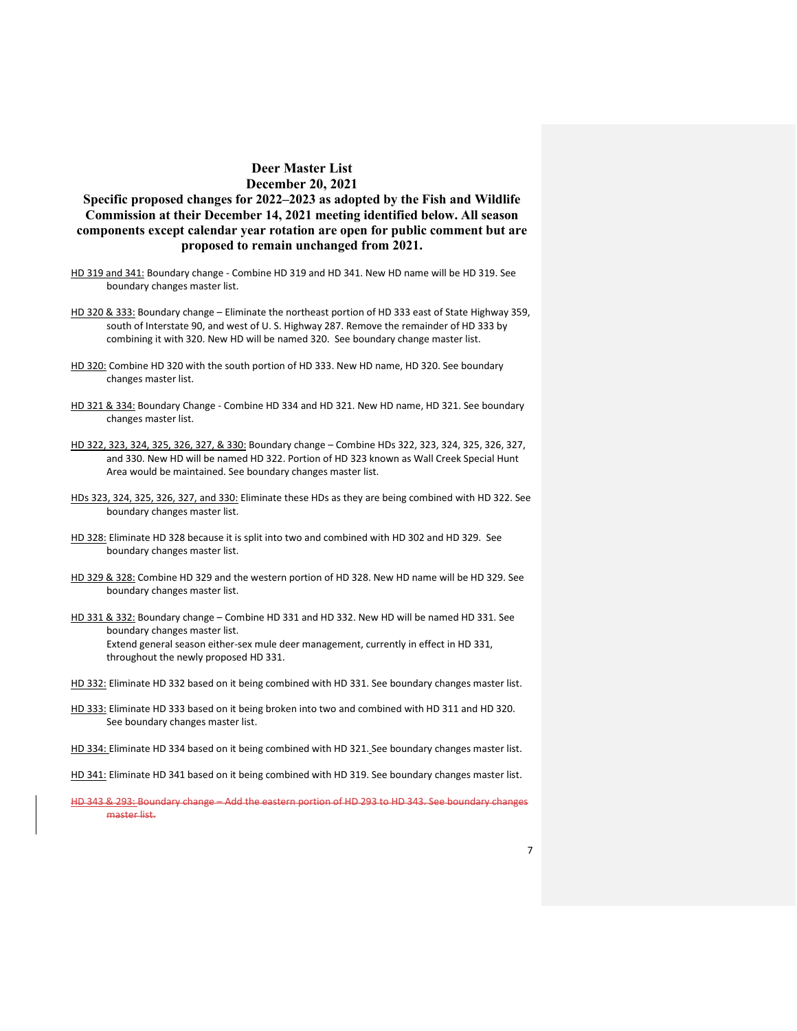# **Specific proposed changes for 2022–2023 as adopted by the Fish and Wildlife Commission at their December 14, 2021 meeting identified below. All season components except calendar year rotation are open for public comment but are proposed to remain unchanged from 2021.**

- HD 319 and 341: Boundary change Combine HD 319 and HD 341. New HD name will be HD 319. See boundary changes master list.
- HD 320 & 333: Boundary change Eliminate the northeast portion of HD 333 east of State Highway 359, south of Interstate 90, and west of U. S. Highway 287. Remove the remainder of HD 333 by combining it with 320. New HD will be named 320. See boundary change master list.
- HD 320: Combine HD 320 with the south portion of HD 333. New HD name, HD 320. See boundary changes master list.
- HD 321 & 334: Boundary Change Combine HD 334 and HD 321. New HD name, HD 321. See boundary changes master list.
- HD 322, 323, 324, 325, 326, 327, & 330: Boundary change Combine HDs 322, 323, 324, 325, 326, 327, and 330. New HD will be named HD 322. Portion of HD 323 known as Wall Creek Special Hunt Area would be maintained. See boundary changes master list.
- HDs 323, 324, 325, 326, 327, and 330: Eliminate these HDs as they are being combined with HD 322. See boundary changes master list.
- HD 328: Eliminate HD 328 because it is split into two and combined with HD 302 and HD 329. See boundary changes master list.
- HD 329 & 328: Combine HD 329 and the western portion of HD 328. New HD name will be HD 329. See boundary changes master list.
- HD 331 & 332: Boundary change Combine HD 331 and HD 332. New HD will be named HD 331. See boundary changes master list. Extend general season either-sex mule deer management, currently in effect in HD 331, throughout the newly proposed HD 331.
- HD 332: Eliminate HD 332 based on it being combined with HD 331. See boundary changes master list.
- HD 333: Eliminate HD 333 based on it being broken into two and combined with HD 311 and HD 320. See boundary changes master list.
- HD 334: Eliminate HD 334 based on it being combined with HD 321. See boundary changes master list.
- HD 341: Eliminate HD 341 based on it being combined with HD 319. See boundary changes master list.
- HD 343 & 293: Boundary change Add the eastern portion of HD 293 to HD 343. See boundary changes master list.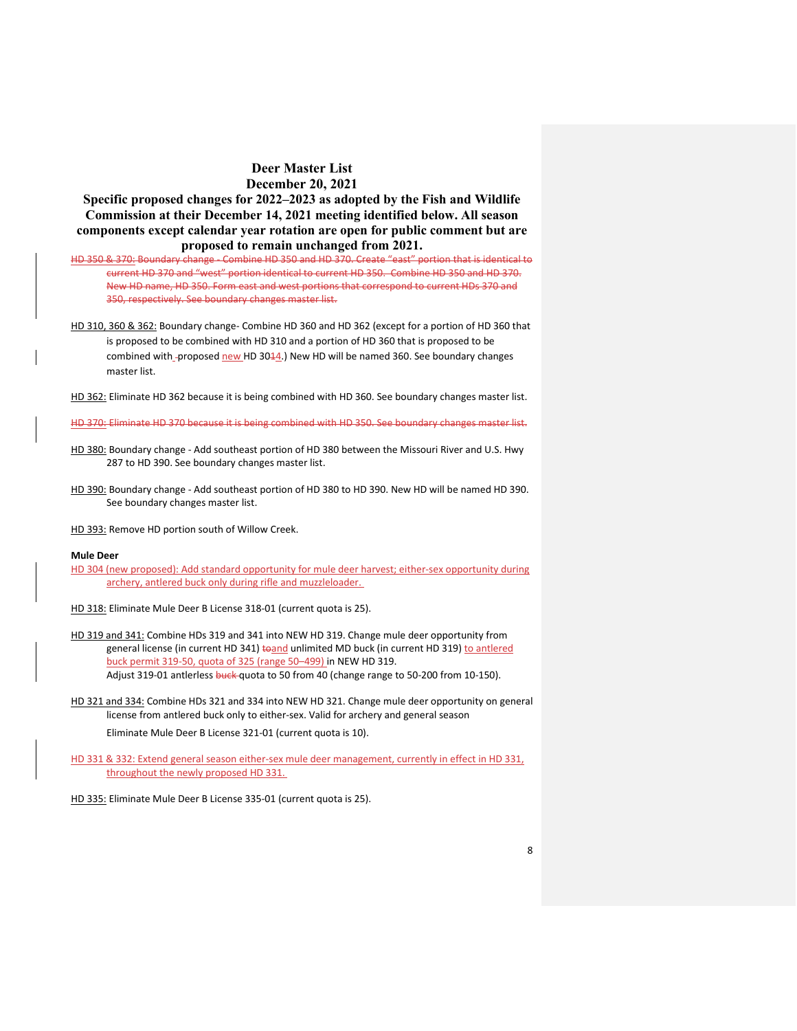**Specific proposed changes for 2022–2023 as adopted by the Fish and Wildlife Commission at their December 14, 2021 meeting identified below. All season components except calendar year rotation are open for public comment but are proposed to remain unchanged from 2021.**

HD 350 & 370: Boundary change - Combine HD 350 and HD 370. Create "east" portion that is identical to current HD 370 and "west" portion identical to current HD 350. Combine HD 350 and HD 370. New HD name, HD 350. Form east and west portions that correspond to current HDs 370 and 350, respectively. See boundary changes master list.

HD 310, 360 & 362: Boundary change- Combine HD 360 and HD 362 (except for a portion of HD 360 that is proposed to be combined with HD 310 and a portion of HD 360 that is proposed to be combined with-proposed new HD 3044.) New HD will be named 360. See boundary changes master list.

HD 362: Eliminate HD 362 because it is being combined with HD 360. See boundary changes master list.

HD 370: Eliminate HD 370 because it is being combined with HD 350. See boundary changes master list.

- HD 380: Boundary change Add southeast portion of HD 380 between the Missouri River and U.S. Hwy 287 to HD 390. See boundary changes master list.
- HD 390: Boundary change Add southeast portion of HD 380 to HD 390. New HD will be named HD 390. See boundary changes master list.

HD 393: Remove HD portion south of Willow Creek.

#### **Mule Deer**

HD 304 (new proposed): Add standard opportunity for mule deer harvest; either-sex opportunity during archery, antlered buck only during rifle and muzzleloader.

HD 318: Eliminate Mule Deer B License 318-01 (current quota is 25).

- HD 319 and 341: Combine HDs 319 and 341 into NEW HD 319. Change mule deer opportunity from general license (in current HD 341) to and unlimited MD buck (in current HD 319) to antlered buck permit 319-50, quota of 325 (range 50–499) in NEW HD 319. Adjust 319-01 antlerless buck quota to 50 from 40 (change range to 50-200 from 10-150).
- HD 321 and 334: Combine HDs 321 and 334 into NEW HD 321. Change mule deer opportunity on general license from antlered buck only to either-sex. Valid for archery and general season

Eliminate Mule Deer B License 321-01 (current quota is 10).

HD 331 & 332: Extend general season either-sex mule deer management, currently in effect in HD 331, throughout the newly proposed HD 331.

HD 335: Eliminate Mule Deer B License 335-01 (current quota is 25).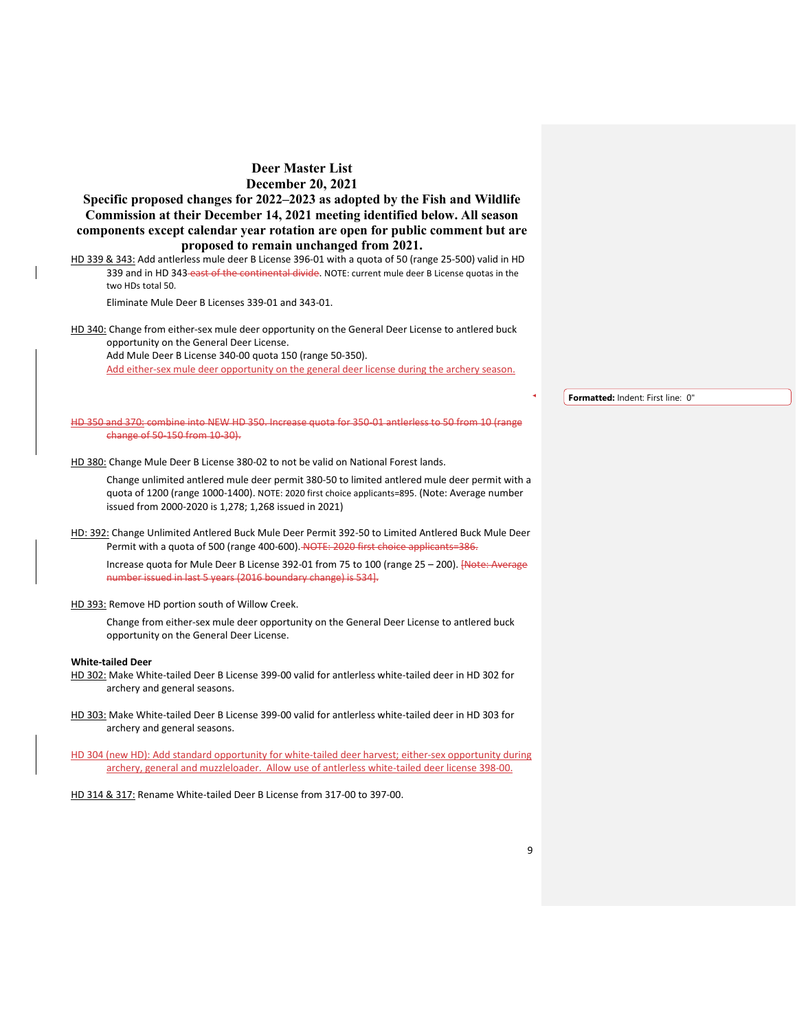**Specific proposed changes for 2022–2023 as adopted by the Fish and Wildlife Commission at their December 14, 2021 meeting identified below. All season components except calendar year rotation are open for public comment but are proposed to remain unchanged from 2021.**

HD 339 & 343: Add antlerless mule deer B License 396-01 with a quota of 50 (range 25-500) valid in HD 339 and in HD 343-east of the continental divide. NOTE: current mule deer B License quotas in the two HDs total 50.

Eliminate Mule Deer B Licenses 339-01 and 343-01.

HD 340: Change from either-sex mule deer opportunity on the General Deer License to antlered buck opportunity on the General Deer License.

Add Mule Deer B License 340-00 quota 150 (range 50-350).

Add either-sex mule deer opportunity on the general deer license during the archery season.

HD 350 and 370: combine into NEW HD 350. Increase quota for 350-01 antlerless to 50 from 10 (range change of 50-150 from 10-30).

HD 380: Change Mule Deer B License 380-02 to not be valid on National Forest lands.

Change unlimited antlered mule deer permit 380-50 to limited antlered mule deer permit with a quota of 1200 (range 1000-1400). NOTE: 2020 first choice applicants=895. (Note: Average number issued from 2000-2020 is 1,278; 1,268 issued in 2021)

HD: 392: Change Unlimited Antlered Buck Mule Deer Permit 392-50 to Limited Antlered Buck Mule Deer Permit with a quota of 500 (range 400-600). NOTE: 2020 first choice applicants=386.

Increase quota for Mule Deer B License 392-01 from 75 to 100 (range 25 - 200). [Note: Average number issued in last 5 years (2016 boundary change) is 534].

HD 393: Remove HD portion south of Willow Creek.

Change from either-sex mule deer opportunity on the General Deer License to antlered buck opportunity on the General Deer License.

#### **White-tailed Deer**

- HD 302: Make White-tailed Deer B License 399-00 valid for antlerless white-tailed deer in HD 302 for archery and general seasons.
- HD 303: Make White-tailed Deer B License 399-00 valid for antlerless white-tailed deer in HD 303 for archery and general seasons.

HD 304 (new HD): Add standard opportunity for white-tailed deer harvest; either-sex opportunity during archery, general and muzzleloader. Allow use of antlerless white-tailed deer license 398-00.

HD 314 & 317: Rename White-tailed Deer B License from 317-00 to 397-00.

**Formatted:** Indent: First line: 0"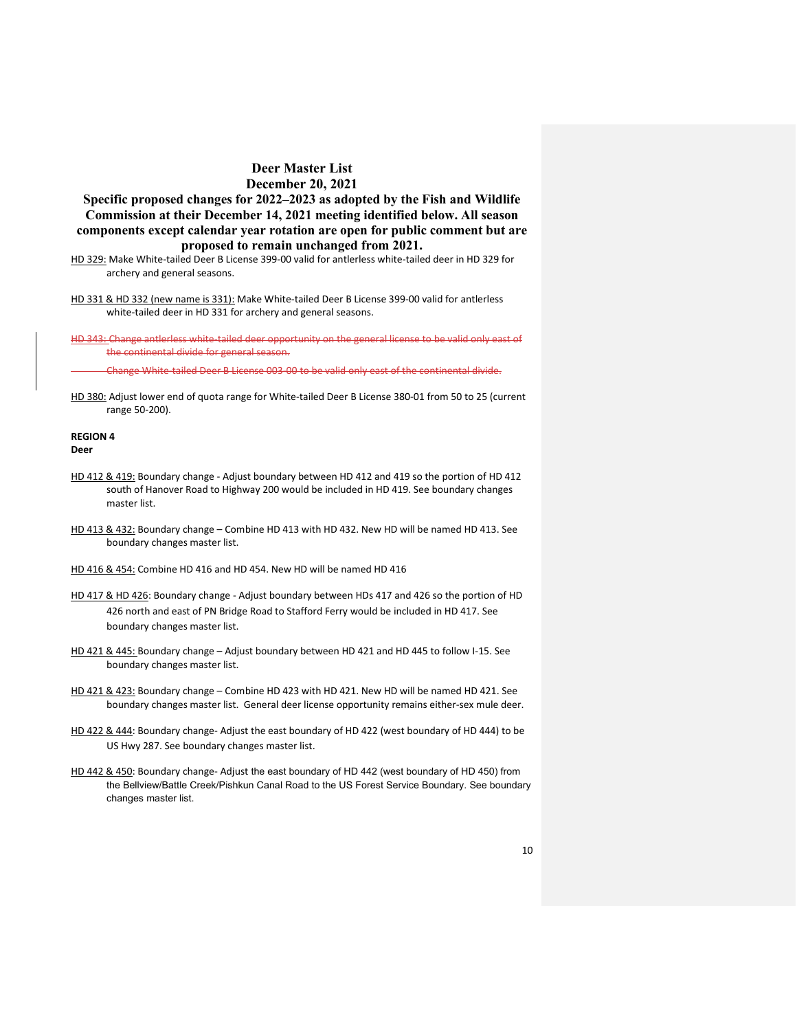**Specific proposed changes for 2022–2023 as adopted by the Fish and Wildlife Commission at their December 14, 2021 meeting identified below. All season components except calendar year rotation are open for public comment but are proposed to remain unchanged from 2021.**

- HD 329: Make White-tailed Deer B License 399-00 valid for antlerless white-tailed deer in HD 329 for archery and general seasons.
- HD 331 & HD 332 (new name is 331): Make White-tailed Deer B License 399-00 valid for antlerless white-tailed deer in HD 331 for archery and general seasons.

HD 343: Change antlerless white-tailed deer opportunity on the general license to be valid only east of the continental divide for general season.

Change White-tailed Deer B License 003-00 to be valid only east of the continental divide.

HD 380: Adjust lower end of quota range for White-tailed Deer B License 380-01 from 50 to 25 (current range 50-200).

### **REGION 4 Deer**

- HD 412 & 419: Boundary change Adjust boundary between HD 412 and 419 so the portion of HD 412 south of Hanover Road to Highway 200 would be included in HD 419. See boundary changes master list.
- HD 413 & 432: Boundary change Combine HD 413 with HD 432. New HD will be named HD 413. See boundary changes master list.
- HD 416 & 454: Combine HD 416 and HD 454. New HD will be named HD 416
- HD 417 & HD 426: Boundary change Adjust boundary between HDs 417 and 426 so the portion of HD 426 north and east of PN Bridge Road to Stafford Ferry would be included in HD 417. See boundary changes master list.
- HD 421 & 445: Boundary change Adjust boundary between HD 421 and HD 445 to follow I-15. See boundary changes master list.
- HD 421 & 423: Boundary change Combine HD 423 with HD 421. New HD will be named HD 421. See boundary changes master list. General deer license opportunity remains either-sex mule deer.
- HD 422 & 444: Boundary change- Adjust the east boundary of HD 422 (west boundary of HD 444) to be US Hwy 287. See boundary changes master list.
- HD 442 & 450: Boundary change- Adjust the east boundary of HD 442 (west boundary of HD 450) from the Bellview/Battle Creek/Pishkun Canal Road to the US Forest Service Boundary. See boundary changes master list.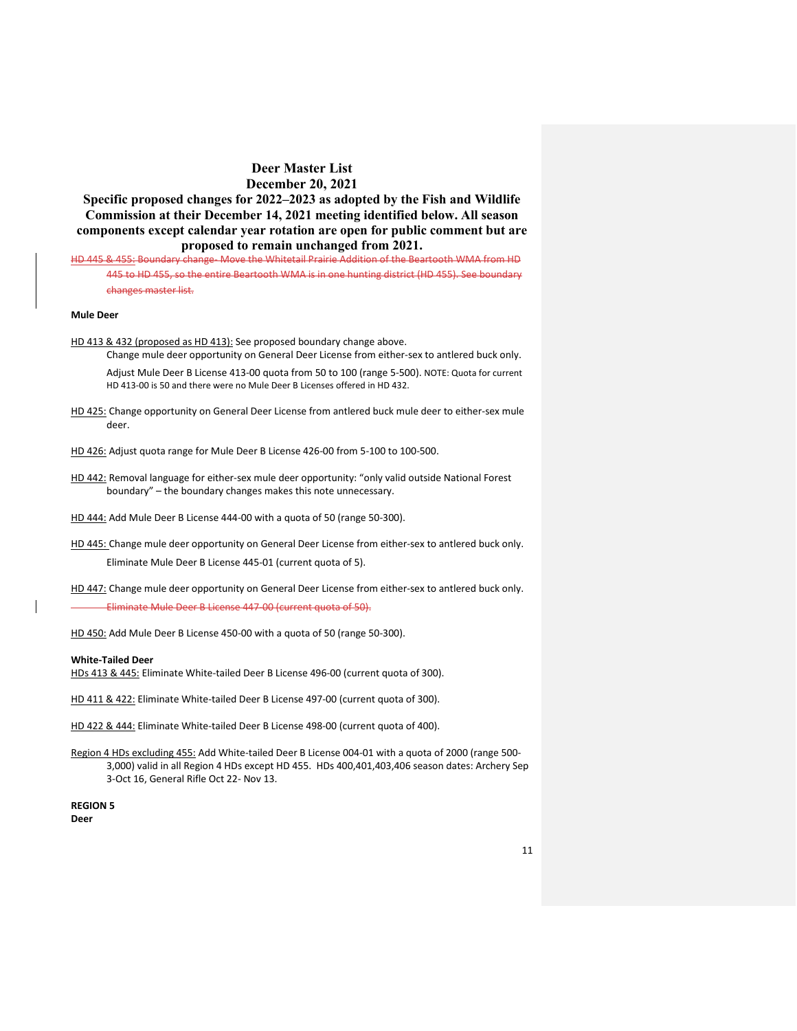**Specific proposed changes for 2022–2023 as adopted by the Fish and Wildlife Commission at their December 14, 2021 meeting identified below. All season components except calendar year rotation are open for public comment but are proposed to remain unchanged from 2021.**

HD 445 & 455: Boundary change- Move the Whitetail Prairie Addition of the Beartooth WMA from HD 445 to HD 455, so the entire Beartooth WMA is in one hunting district (HD 455). See boundary changes master list.

### **Mule Deer**

HD 413 & 432 (proposed as HD 413): See proposed boundary change above.

Change mule deer opportunity on General Deer License from either-sex to antlered buck only. Adjust Mule Deer B License 413-00 quota from 50 to 100 (range 5-500). NOTE: Quota for current HD 413-00 is 50 and there were no Mule Deer B Licenses offered in HD 432.

- HD 425: Change opportunity on General Deer License from antlered buck mule deer to either-sex mule deer.
- HD 426: Adjust quota range for Mule Deer B License 426-00 from 5-100 to 100-500.
- HD 442: Removal language for either-sex mule deer opportunity: "only valid outside National Forest boundary" – the boundary changes makes this note unnecessary.
- HD 444: Add Mule Deer B License 444-00 with a quota of 50 (range 50-300).
- HD 445: Change mule deer opportunity on General Deer License from either-sex to antlered buck only. Eliminate Mule Deer B License 445-01 (current quota of 5).
- HD 447: Change mule deer opportunity on General Deer License from either-sex to antlered buck only. Eliminate Mule Deer B License 447-00 (current quota of 50).
- HD 450: Add Mule Deer B License 450-00 with a quota of 50 (range 50-300).

#### **White-Tailed Deer**

HDs 413 & 445: Eliminate White-tailed Deer B License 496-00 (current quota of 300).

HD 411 & 422: Eliminate White-tailed Deer B License 497-00 (current quota of 300).

HD 422 & 444: Eliminate White-tailed Deer B License 498-00 (current quota of 400).

Region 4 HDs excluding 455: Add White-tailed Deer B License 004-01 with a quota of 2000 (range 500-3,000) valid in all Region 4 HDs except HD 455. HDs 400,401,403,406 season dates: Archery Sep 3-Oct 16, General Rifle Oct 22- Nov 13.

**REGION 5 Deer**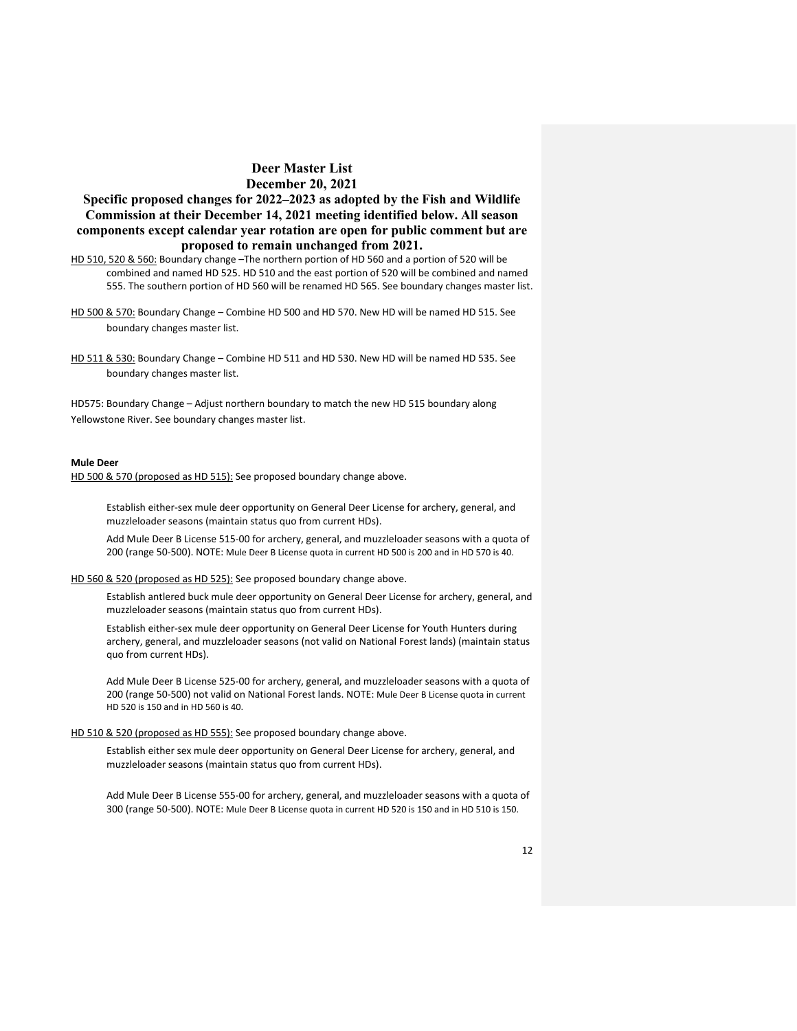**Specific proposed changes for 2022–2023 as adopted by the Fish and Wildlife Commission at their December 14, 2021 meeting identified below. All season components except calendar year rotation are open for public comment but are proposed to remain unchanged from 2021.**

- HD 510, 520 & 560: Boundary change –The northern portion of HD 560 and a portion of 520 will be combined and named HD 525. HD 510 and the east portion of 520 will be combined and named 555. The southern portion of HD 560 will be renamed HD 565. See boundary changes master list.
- HD 500 & 570: Boundary Change Combine HD 500 and HD 570. New HD will be named HD 515. See boundary changes master list.
- HD 511 & 530: Boundary Change Combine HD 511 and HD 530. New HD will be named HD 535. See boundary changes master list.

HD575: Boundary Change – Adjust northern boundary to match the new HD 515 boundary along Yellowstone River. See boundary changes master list.

### **Mule Deer**

HD 500 & 570 (proposed as HD 515): See proposed boundary change above.

Establish either-sex mule deer opportunity on General Deer License for archery, general, and muzzleloader seasons (maintain status quo from current HDs).

Add Mule Deer B License 515-00 for archery, general, and muzzleloader seasons with a quota of 200 (range 50-500). NOTE: Mule Deer B License quota in current HD 500 is 200 and in HD 570 is 40.

### HD 560 & 520 (proposed as HD 525): See proposed boundary change above.

Establish antlered buck mule deer opportunity on General Deer License for archery, general, and muzzleloader seasons (maintain status quo from current HDs).

Establish either-sex mule deer opportunity on General Deer License for Youth Hunters during archery, general, and muzzleloader seasons (not valid on National Forest lands) (maintain status quo from current HDs).

Add Mule Deer B License 525-00 for archery, general, and muzzleloader seasons with a quota of 200 (range 50-500) not valid on National Forest lands. NOTE: Mule Deer B License quota in current HD 520 is 150 and in HD 560 is 40.

### HD 510 & 520 (proposed as HD 555): See proposed boundary change above.

Establish either sex mule deer opportunity on General Deer License for archery, general, and muzzleloader seasons (maintain status quo from current HDs).

Add Mule Deer B License 555-00 for archery, general, and muzzleloader seasons with a quota of 300 (range 50-500). NOTE: Mule Deer B License quota in current HD 520 is 150 and in HD 510 is 150.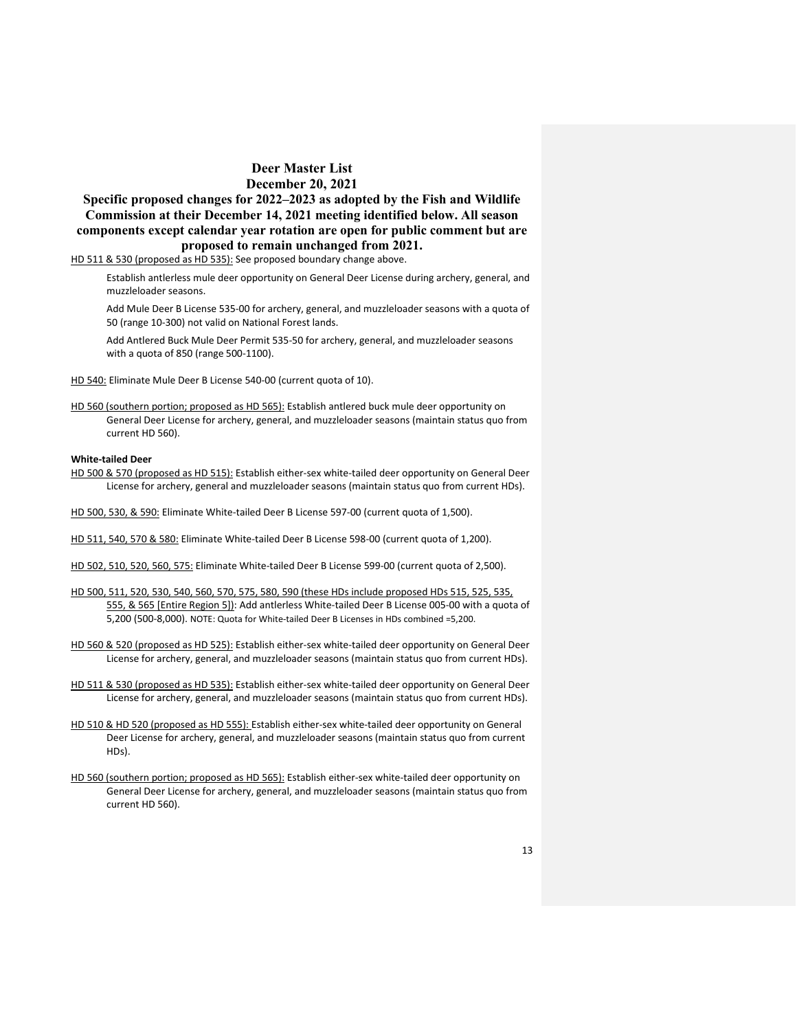**Specific proposed changes for 2022–2023 as adopted by the Fish and Wildlife Commission at their December 14, 2021 meeting identified below. All season components except calendar year rotation are open for public comment but are proposed to remain unchanged from 2021.**

HD 511 & 530 (proposed as HD 535): See proposed boundary change above.

Establish antlerless mule deer opportunity on General Deer License during archery, general, and muzzleloader seasons.

Add Mule Deer B License 535-00 for archery, general, and muzzleloader seasons with a quota of 50 (range 10-300) not valid on National Forest lands.

Add Antlered Buck Mule Deer Permit 535-50 for archery, general, and muzzleloader seasons with a quota of 850 (range 500-1100).

HD 540: Eliminate Mule Deer B License 540-00 (current quota of 10).

HD 560 (southern portion; proposed as HD 565): Establish antlered buck mule deer opportunity on General Deer License for archery, general, and muzzleloader seasons (maintain status quo from current HD 560).

### **White-tailed Deer**

- HD 500 & 570 (proposed as HD 515): Establish either-sex white-tailed deer opportunity on General Deer License for archery, general and muzzleloader seasons (maintain status quo from current HDs).
- HD 500, 530, & 590: Eliminate White-tailed Deer B License 597-00 (current quota of 1,500).
- HD 511, 540, 570 & 580: Eliminate White-tailed Deer B License 598-00 (current quota of 1,200).
- HD 502, 510, 520, 560, 575: Eliminate White-tailed Deer B License 599-00 (current quota of 2,500).
- HD 500, 511, 520, 530, 540, 560, 570, 575, 580, 590 (these HDs include proposed HDs 515, 525, 535, 555, & 565 [Entire Region 5]): Add antlerless White-tailed Deer B License 005-00 with a quota of 5,200 (500-8,000). NOTE: Quota for White-tailed Deer B Licenses in HDs combined =5,200.
- HD 560 & 520 (proposed as HD 525): Establish either-sex white-tailed deer opportunity on General Deer License for archery, general, and muzzleloader seasons (maintain status quo from current HDs).
- HD 511 & 530 (proposed as HD 535): Establish either-sex white-tailed deer opportunity on General Deer License for archery, general, and muzzleloader seasons (maintain status quo from current HDs).
- HD 510 & HD 520 (proposed as HD 555): Establish either-sex white-tailed deer opportunity on General Deer License for archery, general, and muzzleloader seasons (maintain status quo from current HDs).
- HD 560 (southern portion; proposed as HD 565): Establish either-sex white-tailed deer opportunity on General Deer License for archery, general, and muzzleloader seasons (maintain status quo from current HD 560).